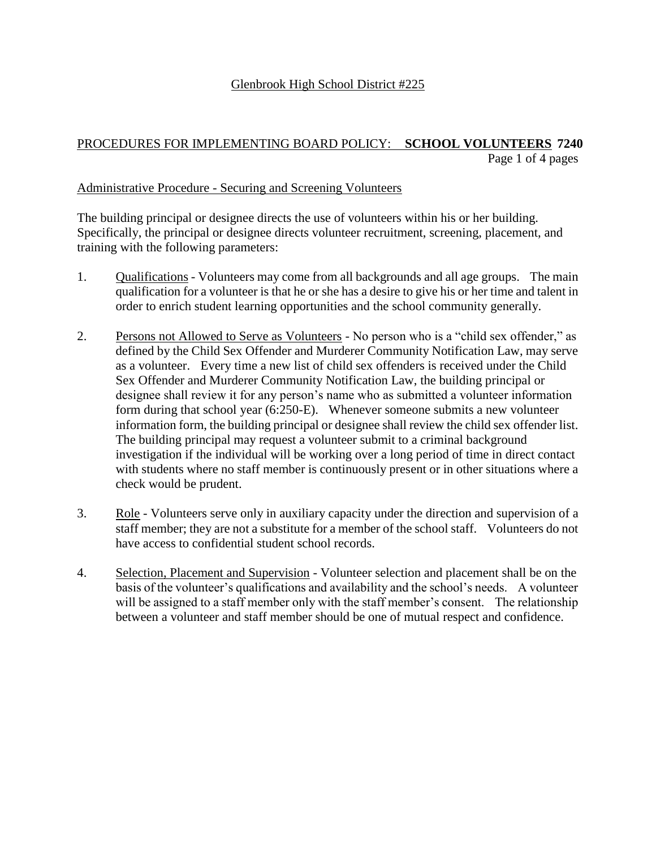### Glenbrook High School District #225

## PROCEDURES FOR IMPLEMENTING BOARD POLICY: **SCHOOL VOLUNTEERS 7240** Page 1 of 4 pages

#### Administrative Procedure - Securing and Screening Volunteers

The building principal or designee directs the use of volunteers within his or her building. Specifically, the principal or designee directs volunteer recruitment, screening, placement, and training with the following parameters:

- 1. Qualifications Volunteers may come from all backgrounds and all age groups. The main qualification for a volunteer is that he or she has a desire to give his or her time and talent in order to enrich student learning opportunities and the school community generally.
- 2. Persons not Allowed to Serve as Volunteers No person who is a "child sex offender," as defined by the Child Sex Offender and Murderer Community Notification Law, may serve as a volunteer. Every time a new list of child sex offenders is received under the Child Sex Offender and Murderer Community Notification Law, the building principal or designee shall review it for any person's name who as submitted a volunteer information form during that school year (6:250-E). Whenever someone submits a new volunteer information form, the building principal or designee shall review the child sex offender list. The building principal may request a volunteer submit to a criminal background investigation if the individual will be working over a long period of time in direct contact with students where no staff member is continuously present or in other situations where a check would be prudent.
- 3. Role Volunteers serve only in auxiliary capacity under the direction and supervision of a staff member; they are not a substitute for a member of the school staff. Volunteers do not have access to confidential student school records.
- 4. Selection, Placement and Supervision Volunteer selection and placement shall be on the basis of the volunteer's qualifications and availability and the school's needs. A volunteer will be assigned to a staff member only with the staff member's consent. The relationship between a volunteer and staff member should be one of mutual respect and confidence.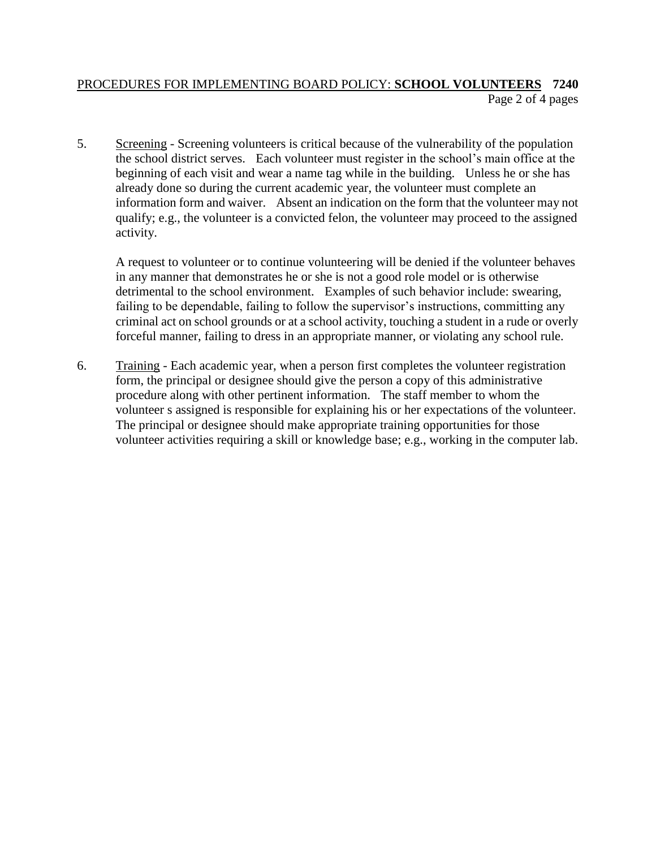### PROCEDURES FOR IMPLEMENTING BOARD POLICY: **SCHOOL VOLUNTEERS 7240** Page 2 of 4 pages

5. Screening - Screening volunteers is critical because of the vulnerability of the population the school district serves. Each volunteer must register in the school's main office at the beginning of each visit and wear a name tag while in the building. Unless he or she has already done so during the current academic year, the volunteer must complete an information form and waiver. Absent an indication on the form that the volunteer may not qualify; e.g., the volunteer is a convicted felon, the volunteer may proceed to the assigned activity.

A request to volunteer or to continue volunteering will be denied if the volunteer behaves in any manner that demonstrates he or she is not a good role model or is otherwise detrimental to the school environment. Examples of such behavior include: swearing, failing to be dependable, failing to follow the supervisor's instructions, committing any criminal act on school grounds or at a school activity, touching a student in a rude or overly forceful manner, failing to dress in an appropriate manner, or violating any school rule.

6. Training - Each academic year, when a person first completes the volunteer registration form, the principal or designee should give the person a copy of this administrative procedure along with other pertinent information. The staff member to whom the volunteer s assigned is responsible for explaining his or her expectations of the volunteer. The principal or designee should make appropriate training opportunities for those volunteer activities requiring a skill or knowledge base; e.g., working in the computer lab.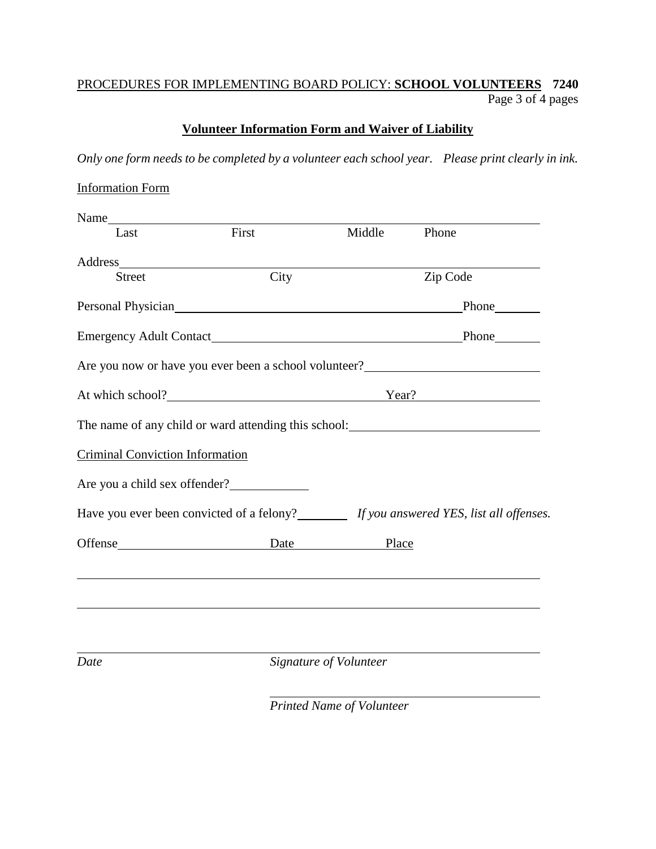## PROCEDURES FOR IMPLEMENTING BOARD POLICY: **SCHOOL VOLUNTEERS 7240** Page 3 of 4 pages

## **Volunteer Information Form and Waiver of Liability**

*Only one form needs to be completed by a volunteer each school year. Please print clearly in ink.*

| <b>Information Form</b>                     |                    |                                  |                                                                                             |  |
|---------------------------------------------|--------------------|----------------------------------|---------------------------------------------------------------------------------------------|--|
|                                             |                    |                                  |                                                                                             |  |
| Last                                        | First              | Middle                           | Phone                                                                                       |  |
|                                             |                    |                                  |                                                                                             |  |
| <b>Street</b>                               | City               |                                  | Zip Code                                                                                    |  |
|                                             |                    |                                  |                                                                                             |  |
|                                             |                    |                                  |                                                                                             |  |
|                                             |                    |                                  | Are you now or have you ever been a school volunteer?                                       |  |
| At which school?<br><u>At which school?</u> |                    |                                  | Year?                                                                                       |  |
|                                             |                    |                                  | The name of any child or ward attending this school:                                        |  |
| <b>Criminal Conviction Information</b>      |                    |                                  |                                                                                             |  |
|                                             |                    |                                  |                                                                                             |  |
|                                             |                    |                                  | Have you ever been convicted of a felony? _________ If you answered YES, list all offenses. |  |
|                                             | Offense Date Place |                                  |                                                                                             |  |
|                                             |                    |                                  |                                                                                             |  |
| Date                                        |                    | Signature of Volunteer           |                                                                                             |  |
|                                             |                    | <b>Printed Name of Volunteer</b> |                                                                                             |  |